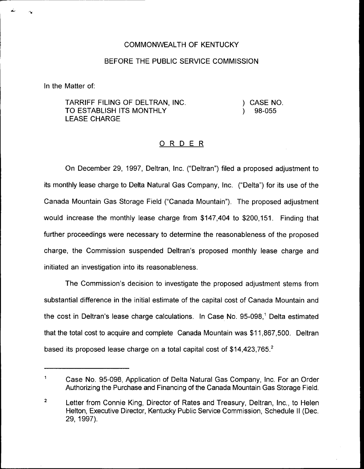## COMMONWEALTH OF KENTUCKY

## BEFORE THE PUBLIC SERVICE COMMISSION

In the Matter of:

TARRIFF FILING OF DELTRAN, INC. TO ESTABLISH ITS MONTHLY LEASE CHARGE

) CASE NO. ) 98-055

## 0 <sup>R</sup> <sup>D</sup> <sup>E</sup> <sup>R</sup>

On December 29, 1997, Deltran, lnc. ("Deltran") filed a proposed adjustment to its monthly lease charge to Delta Natural Gas Company, Inc. ("Delta") for its use of th $\epsilon$ Canada Mountain Gas Storage Field ("Canada Mountain" ). The proposed adjustment would increase the monthly lease charge from \$147,404 to \$200,151. Finding that further proceedings were necessary to determine the reasonableness of the proposed charge, the Commission suspended Deltran's proposed monthly lease charge and initiated an investigation into its reasonableness.

The Commission's decision to investigate the proposed adjustment stems from substantial difference in the initial estimate of the capital cost of Canada Mountain and the cost in Deltran's lease charge calculations. In Case No. 95-098,<sup>1</sup> Delta estimated that the total cost to acquire and complete Canada Mountain was \$11,867,500. Deltran based its proposed lease charge on a total capital cost of \$14,423,765.<sup>2</sup>

 $\mathbf{1}$ Case No. 95-098, Application of Delta Natural Gas Company, Inc. For an Order Authorizing the Purchase and Financing of the Canada Mountain Gas Storage Field.

 $\overline{2}$ Letter from Connie King, Director of Rates and Treasury, Deltran, Inc., to Helen Helton, Executive Director, Kentucky Public Service Commission, Schedule II (Dec. 29, 1997).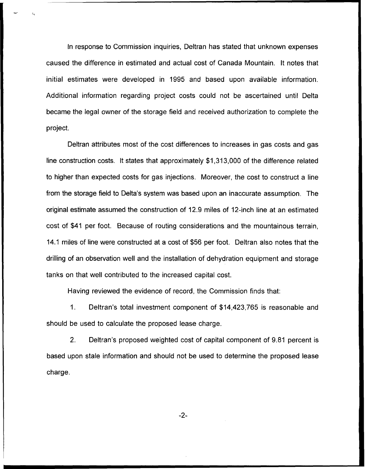In response to Commission inquiries, Deltran has stated that unknown expenses caused the difference in estimated and actual cost of Canada Mountain. It notes that initial estimates were developed in 1995 and based upon available information. Additional information regarding project costs could not be ascertained until Delta became the legal owner of the storage field and received authorization to complete the project.

Deltran attributes most of the cost differences to increases in gas costs and gas line construction costs. It states that approximately \$1,313,000 of the difference related to higher than expected costs for gas injections. Moreover, the cost to construct a line from the storage field to Delta's system was based upon an inaccurate assumption. The original estimate assumed the construction of 12.9 mites of 12-inch line at an estimated cost of \$41 per foot. Because of routing considerations and the mountainous terrain, 14.1 miles of line were constructed at a cost of \$56 per foot. Deltran also notes that the drilling of an observation well and the installation of dehydration equipment and storage tanks on that well contributed to the increased capital cost.

Having reviewed the evidence of record, the Commission finds that:

1. Deltran's total investment component of \$14,423,765 is reasonable and should be used to calculate the proposed lease charge.

2. Deltran's proposed weighted cost of capital component of 9.81 percent is based upon stale information and should not be used to determine the proposed lease charge.

-2-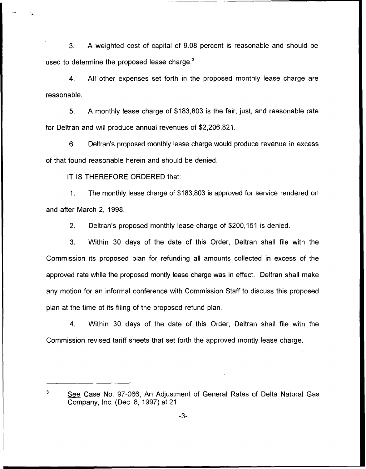3. A weighted cost of capital of 9.08 percent is reasonable and should be used to determine the proposed lease charge. $3$ 

 $\overline{4}$ . All other expenses set forth in the proposed monthly lease charge are reasonable.

5. A monthly lease charge of \$183,803 is the fair, just, and reasonable rate for Deltran and will produce annual revenues of \$2,206,821.

6. Deltran's proposed monthly lease charge would produce revenue in excess of that found reasonable herein and should be denied.

IT IS THEREFORE ORDERED that:

1. The monthly lease charge of \$183,803 is approved for service rendered on and after March 2, 1998.

2. Deltran's proposed monthly lease charge of \$200,151 is denied.

3. Within 30 days of the date of this Order, Deltran shall file with the Commission its proposed plan for refunding all amounts collected in excess of the approved rate while the proposed montly lease charge was in effect. Deltran shall make any motion for an informal conference with Commission Staff to discuss this proposed plan at the time of its filing of the proposed refund plan.

4. Within 30 days of the date of this Order, Deltran shall file with the Commission revised tariff sheets that set forth the approved montly lease charge.

3

See Case No. 97-066, An Adjustment of General Rates of Delta Natural Gas Company, Inc. (Dec. 8, 1997) at 21.